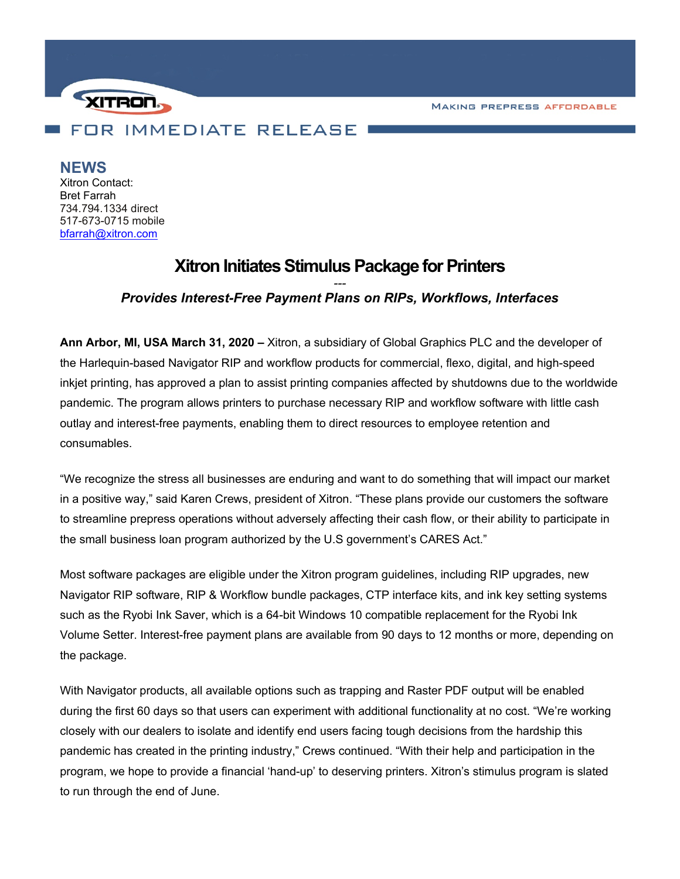**MAKING PREPRESS AFFORDABLE** 



**NEWS**

Xitron Contact: Bret Farrah 734.794.1334 direct 517-673-0715 mobile [bfarrah@xitron.com](mailto:bfarrah@xitron.com)

# **Xitron Initiates Stimulus Package for Printers**

# *--- Provides Interest-Free Payment Plans on RIPs, Workflows, Interfaces*

**Ann Arbor, MI, USA March 31, 2020 –** Xitron, a subsidiary of Global Graphics PLC and the developer of the Harlequin-based Navigator RIP and workflow products for commercial, flexo, digital, and high-speed inkjet printing, has approved a plan to assist printing companies affected by shutdowns due to the worldwide pandemic. The program allows printers to purchase necessary RIP and workflow software with little cash outlay and interest-free payments, enabling them to direct resources to employee retention and consumables.

"We recognize the stress all businesses are enduring and want to do something that will impact our market in a positive way," said Karen Crews, president of Xitron. "These plans provide our customers the software to streamline prepress operations without adversely affecting their cash flow, or their ability to participate in the small business loan program authorized by the U.S government's CARES Act."

Most software packages are eligible under the Xitron program guidelines, including RIP upgrades, new Navigator RIP software, RIP & Workflow bundle packages, CTP interface kits, and ink key setting systems such as the Ryobi Ink Saver, which is a 64-bit Windows 10 compatible replacement for the Ryobi Ink Volume Setter. Interest-free payment plans are available from 90 days to 12 months or more, depending on the package.

With Navigator products, all available options such as trapping and Raster PDF output will be enabled during the first 60 days so that users can experiment with additional functionality at no cost. "We're working closely with our dealers to isolate and identify end users facing tough decisions from the hardship this pandemic has created in the printing industry," Crews continued. "With their help and participation in the program, we hope to provide a financial 'hand-up' to deserving printers. Xitron's stimulus program is slated to run through the end of June.